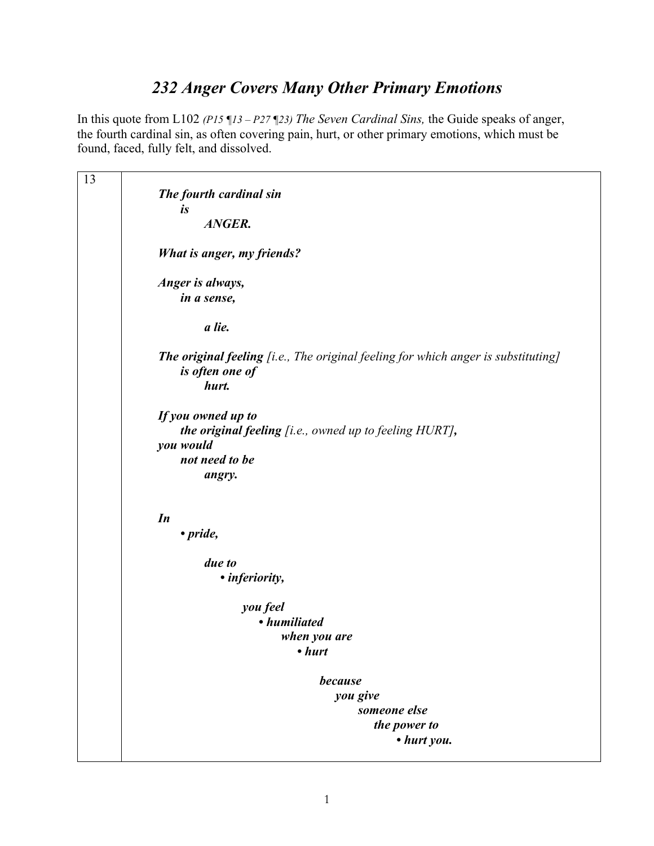## *232 Anger Covers Many Other Primary Emotions*

In this quote from L102 *(P15 ¶13 – P27 ¶23) The Seven Cardinal Sins,* the Guide speaks of anger, the fourth cardinal sin, as often covering pain, hurt, or other primary emotions, which must be found, faced, fully felt, and dissolved.

| 13 |                                                                                                                       |
|----|-----------------------------------------------------------------------------------------------------------------------|
|    | The fourth cardinal sin                                                                                               |
|    | is                                                                                                                    |
|    | ANGER.                                                                                                                |
|    | What is anger, my friends?                                                                                            |
|    | Anger is always,<br>in a sense,                                                                                       |
|    | a lie.                                                                                                                |
|    | <b>The original feeling</b> [i.e., The original feeling for which anger is substituting]<br>is often one of<br>hurt.  |
|    | If you owned up to<br>the original feeling [i.e., owned up to feeling HURT],<br>you would<br>not need to be<br>angry. |
|    | In<br>• pride,                                                                                                        |
|    |                                                                                                                       |
|    | due to                                                                                                                |
|    | • inferiority,                                                                                                        |
|    | you feel                                                                                                              |
|    | • humiliated                                                                                                          |
|    | when you are                                                                                                          |
|    | $\cdot$ hurt                                                                                                          |
|    |                                                                                                                       |
|    | because                                                                                                               |
|    | you give                                                                                                              |
|    | someone else                                                                                                          |
|    | the power to                                                                                                          |
|    | • hurt you.                                                                                                           |
|    |                                                                                                                       |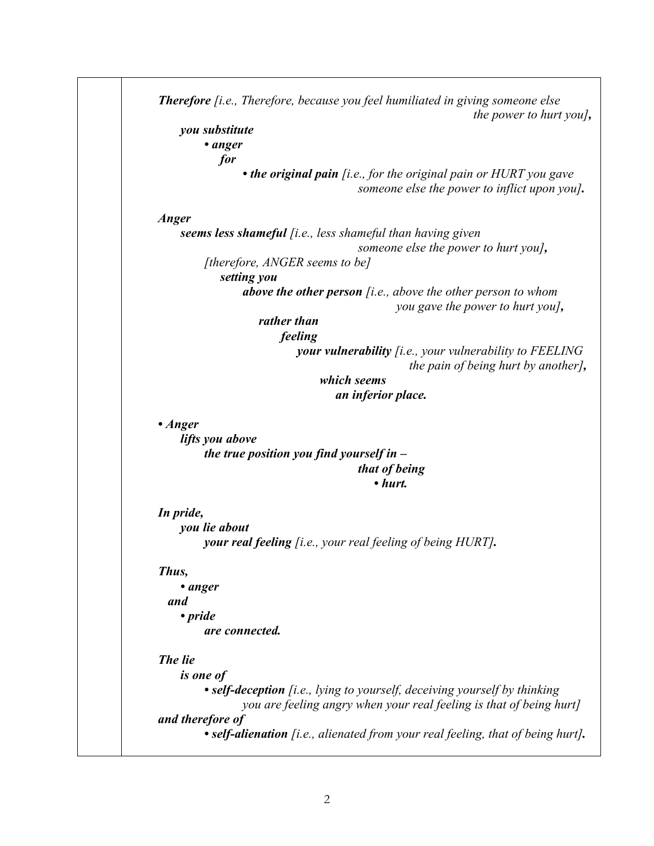|               | <i>the power to hurt you</i> ,                                                                                      |
|---------------|---------------------------------------------------------------------------------------------------------------------|
|               | you substitute                                                                                                      |
|               | • anger                                                                                                             |
|               | for                                                                                                                 |
|               | • the original pain $[i.e., for the original pain or HURT you gave$<br>someone else the power to inflict upon you]. |
| Anger         |                                                                                                                     |
|               | <b>seems less shameful</b> [i.e., less shameful than having given                                                   |
|               | someone else the power to hurt you],                                                                                |
|               | [therefore, ANGER seems to be]                                                                                      |
|               | setting you                                                                                                         |
|               | above the other person $[i.e., above the other person to whom$                                                      |
|               |                                                                                                                     |
|               | you gave the power to hurt you],<br>rather than                                                                     |
|               |                                                                                                                     |
|               | feeling                                                                                                             |
|               | <b>your vulnerability</b> [i.e., your vulnerability to $FEELING$<br>the pain of being hurt by another],             |
|               | which seems                                                                                                         |
|               | an inferior place.                                                                                                  |
|               |                                                                                                                     |
| $\cdot$ Anger |                                                                                                                     |
|               | lifts you above                                                                                                     |
|               | the true position you find yourself in $-$                                                                          |
|               | that of being                                                                                                       |
|               | $\cdot$ hurt.                                                                                                       |
|               |                                                                                                                     |
| In pride,     |                                                                                                                     |
|               | you lie about                                                                                                       |
|               | your real feeling [i.e., your real feeling of being HURT].                                                          |
|               |                                                                                                                     |
|               |                                                                                                                     |
|               |                                                                                                                     |
| • anger       |                                                                                                                     |
| and           |                                                                                                                     |
| • pride       |                                                                                                                     |
|               | are connected.                                                                                                      |
|               |                                                                                                                     |
| The lie       |                                                                                                                     |
|               | <i>is one of</i>                                                                                                    |
|               | • self-deception [i.e., lying to yourself, deceiving yourself by thinking                                           |
| Thus,         | you are feeling angry when your real feeling is that of being hurt]                                                 |
|               | and therefore of<br>• self-alienation [i.e., alienated from your real feeling, that of being hurt].                 |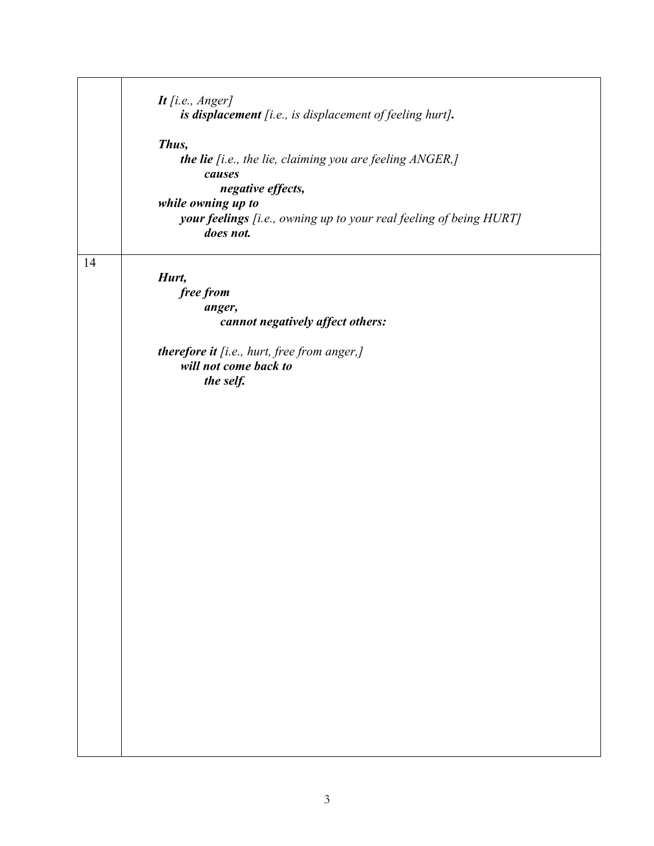|    | It [i.e., Anger]                                                                |
|----|---------------------------------------------------------------------------------|
|    | is displacement [i.e., is displacement of feeling hurt].                        |
|    | Thus,                                                                           |
|    | the lie [i.e., the lie, claiming you are feeling ANGER,]                        |
|    | causes                                                                          |
|    | negative effects,                                                               |
|    | while owning up to                                                              |
|    | your feelings [i.e., owning up to your real feeling of being HURT]<br>does not. |
|    |                                                                                 |
| 14 |                                                                                 |
|    | Hurt,                                                                           |
|    | free from                                                                       |
|    | anger,                                                                          |
|    | cannot negatively affect others:                                                |
|    | therefore it [i.e., hurt, free from anger,]                                     |
|    | will not come back to                                                           |
|    | the self.                                                                       |
|    |                                                                                 |
|    |                                                                                 |
|    |                                                                                 |
|    |                                                                                 |
|    |                                                                                 |
|    |                                                                                 |
|    |                                                                                 |
|    |                                                                                 |
|    |                                                                                 |
|    |                                                                                 |
|    |                                                                                 |
|    |                                                                                 |
|    |                                                                                 |
|    |                                                                                 |
|    |                                                                                 |
|    |                                                                                 |
|    |                                                                                 |
|    |                                                                                 |
|    |                                                                                 |
|    |                                                                                 |
|    |                                                                                 |
|    |                                                                                 |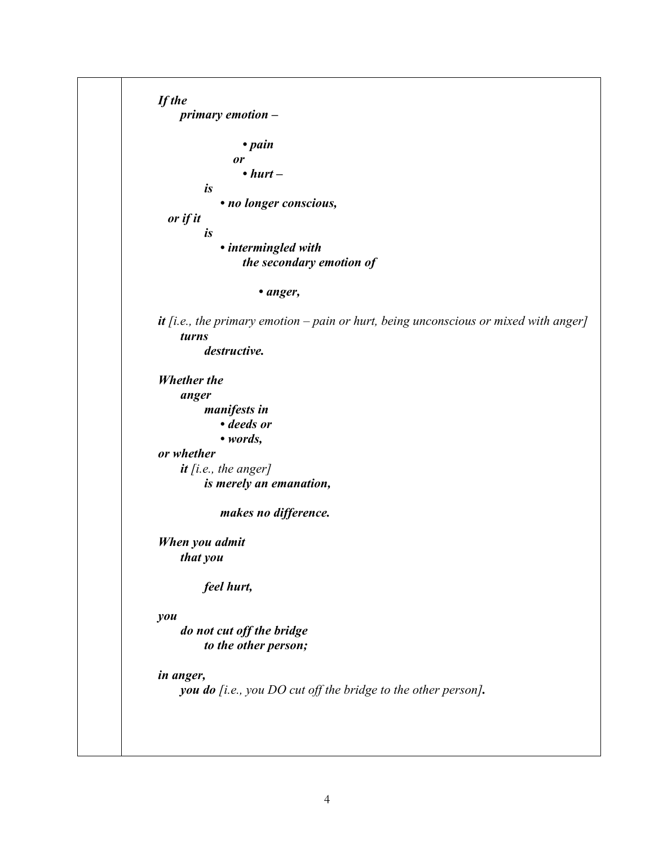```
If the 
     primary emotion –
                 • pain 
                or 
                 • hurt –
         is 
              • no longer conscious, 
   or if it 
         is 
              • intermingled with 
                 the secondary emotion of 
                      • anger, 
it [i.e., the primary emotion – pain or hurt, being unconscious or mixed with anger]
     turns 
         destructive. 
Whether the 
     anger 
         manifests in 
              • deeds or 
              • words, 
or whether 
     it [i.e., the anger]
         is merely an emanation, 
              makes no difference. 
When you admit 
     that you 
         feel hurt, 
you 
     do not cut off the bridge 
         to the other person; 
in anger, 
     you do [i.e., you DO cut off the bridge to the other person].
```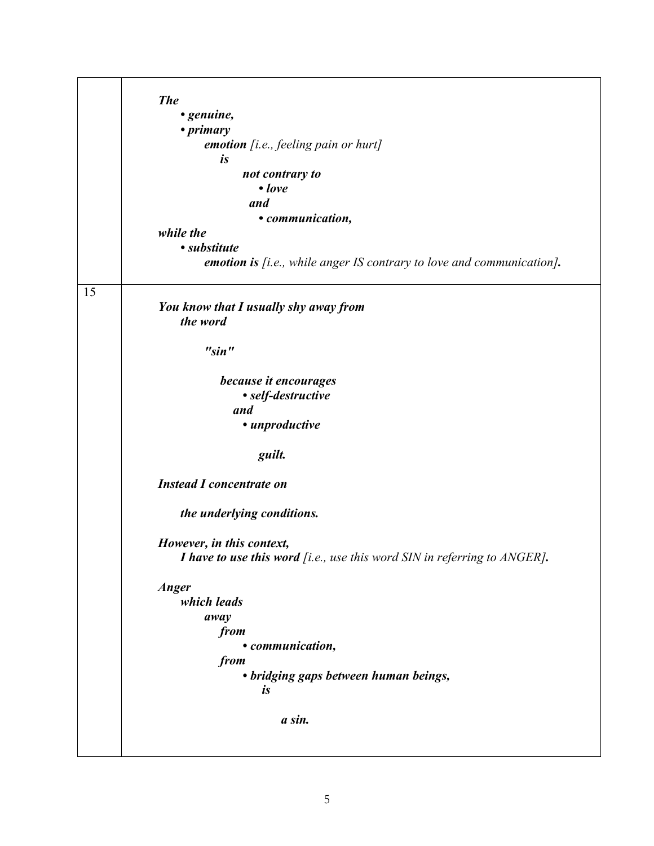|    | <b>The</b>                                                                   |
|----|------------------------------------------------------------------------------|
|    | • genuine,<br>• <i>primary</i>                                               |
|    | emotion [i.e., feeling pain or hurt]                                         |
|    | $\boldsymbol{i}$ s                                                           |
|    | not contrary to                                                              |
|    | $\bullet$ love                                                               |
|    | and                                                                          |
|    | • communication,<br>while the                                                |
|    | • substitute                                                                 |
|    | <b>emotion is</b> [i.e., while anger IS contrary to love and communication]. |
| 15 |                                                                              |
|    | You know that I usually shy away from                                        |
|    | the word                                                                     |
|    |                                                                              |
|    | "sin"                                                                        |
|    | because it encourages                                                        |
|    | • self-destructive                                                           |
|    | and                                                                          |
|    | · unproductive                                                               |
|    | guilt.                                                                       |
|    | <b>Instead I concentrate on</b>                                              |
|    | the underlying conditions.                                                   |
|    | However, in this context,                                                    |
|    | I have to use this word [i.e., use this word SIN in referring to ANGER].     |
|    | <b>Anger</b>                                                                 |
|    | which leads                                                                  |
|    | away                                                                         |
|    | from<br>• communication,                                                     |
|    | from                                                                         |
|    | • bridging gaps between human beings,                                        |
|    | $\boldsymbol{i}$ s                                                           |
|    | a sin.                                                                       |
|    |                                                                              |
|    |                                                                              |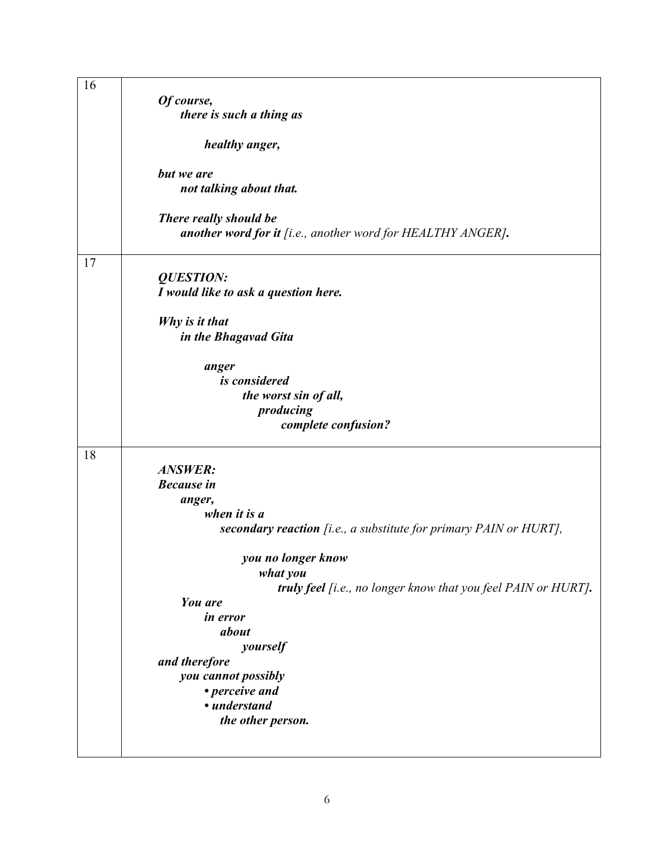| 16 |                                                                   |
|----|-------------------------------------------------------------------|
|    | Of course,                                                        |
|    |                                                                   |
|    | there is such a thing as                                          |
|    |                                                                   |
|    | healthy anger,                                                    |
|    | but we are                                                        |
|    | not talking about that.                                           |
|    |                                                                   |
|    | There really should be                                            |
|    |                                                                   |
|    | another word for it [i.e., another word for HEALTHY ANGER].       |
| 17 |                                                                   |
|    |                                                                   |
|    | <b>QUESTION:</b>                                                  |
|    | I would like to ask a question here.                              |
|    |                                                                   |
|    | Why is it that                                                    |
|    | in the Bhagavad Gita                                              |
|    |                                                                   |
|    | anger                                                             |
|    | is considered                                                     |
|    | the worst sin of all,                                             |
|    | producing                                                         |
|    | complete confusion?                                               |
|    |                                                                   |
| 18 |                                                                   |
|    | <b>ANSWER:</b>                                                    |
|    | <b>Because</b> in                                                 |
|    |                                                                   |
|    | anger,                                                            |
|    | when it is a                                                      |
|    | secondary reaction [i.e., a substitute for primary PAIN or HURT], |
|    |                                                                   |
|    | you no longer know                                                |
|    | what you                                                          |
|    | truly feel [i.e., no longer know that you feel PAIN or HURT].     |
|    | You are                                                           |
|    | in error                                                          |
|    | about                                                             |
|    | yourself                                                          |
|    | and therefore                                                     |
|    | you cannot possibly                                               |
|    | • perceive and                                                    |
|    |                                                                   |
|    | • understand                                                      |
|    | the other person.                                                 |
|    |                                                                   |
|    |                                                                   |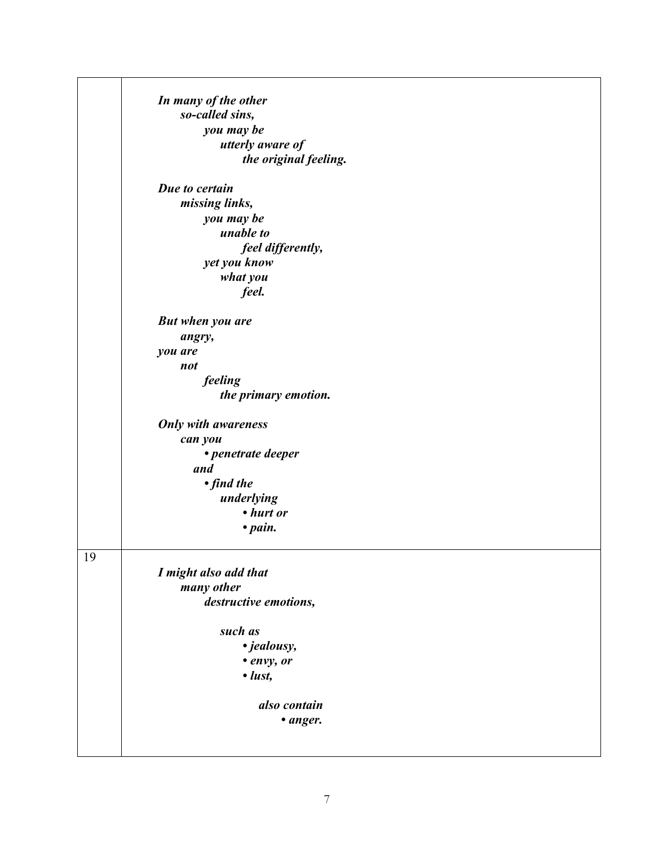|    | In many of the other       |
|----|----------------------------|
|    | so-called sins,            |
|    | you may be                 |
|    | utterly aware of           |
|    | the original feeling.      |
|    |                            |
|    | Due to certain             |
|    | missing links,             |
|    | you may be                 |
|    | unable to                  |
|    | feel differently,          |
|    | yet you know               |
|    | what you                   |
|    | feel.                      |
|    |                            |
|    | <b>But when you are</b>    |
|    | angry,                     |
|    | you are                    |
|    | not                        |
|    | feeling                    |
|    | the primary emotion.       |
|    |                            |
|    | <b>Only with awareness</b> |
|    | can you                    |
|    | • penetrate deeper         |
|    | and                        |
|    | • find the                 |
|    | underlying                 |
|    | • hurt or                  |
|    | $\bullet$ pain.            |
|    |                            |
| 19 |                            |
|    | I might also add that      |
|    | many other                 |
|    | destructive emotions,      |
|    |                            |
|    | such as                    |
|    | • jealousy,                |
|    | • envy, or                 |
|    | $\cdot$ lust,              |
|    | also contain               |
|    |                            |
|    | • anger.                   |
|    |                            |
|    |                            |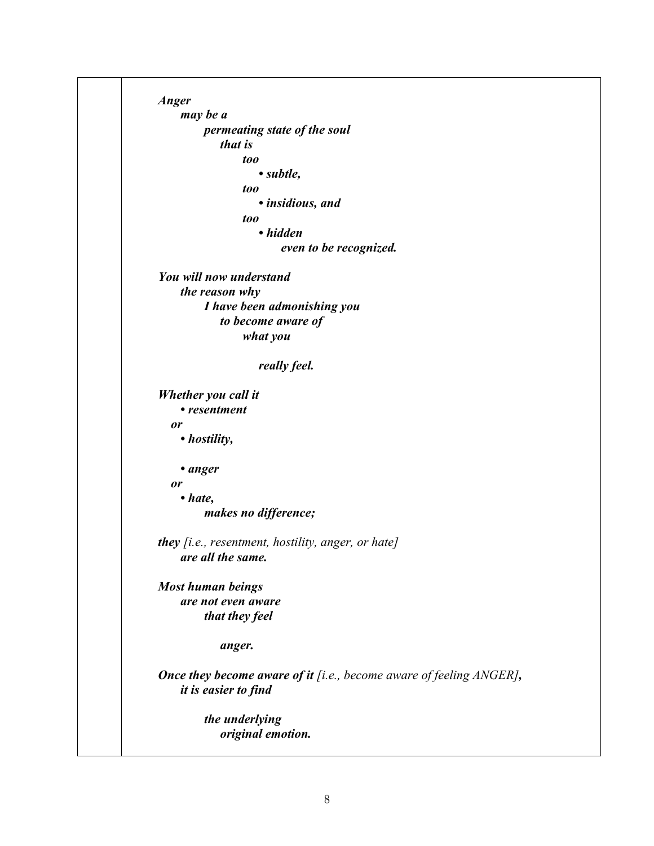*Anger may be a permeating state of the soul that is too • subtle, too • insidious, and too • hidden even to be recognized. You will now understand the reason why I have been admonishing you to become aware of what you really feel. Whether you call it • resentment or • hostility, • anger or • hate, makes no difference; they [i.e., resentment, hostility, anger, or hate] are all the same. Most human beings are not even aware that they feel anger. Once they become aware of it [i.e., become aware of feeling ANGER], it is easier to find the underlying original emotion.*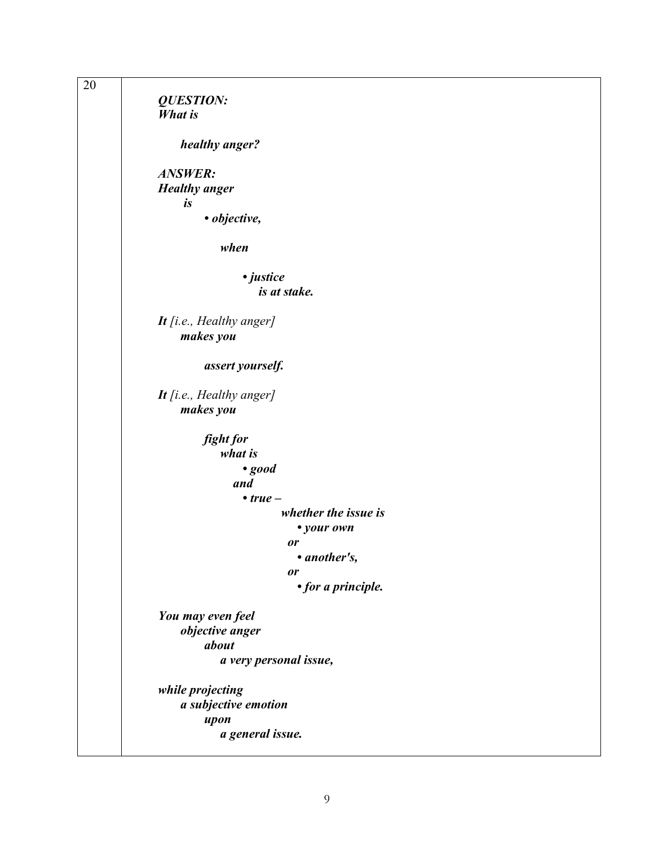| 20 |                          |  |
|----|--------------------------|--|
|    | <b>QUESTION:</b>         |  |
|    | <b>What is</b>           |  |
|    | healthy anger?           |  |
|    | <b>ANSWER:</b>           |  |
|    | <b>Healthy</b> anger     |  |
|    | is                       |  |
|    | · objective,             |  |
|    | when                     |  |
|    | · justice                |  |
|    | is at stake.             |  |
|    | It [i.e., Healthy anger] |  |
|    | makes you                |  |
|    | assert yourself.         |  |
|    | It [i.e., Healthy anger] |  |
|    | makes you                |  |
|    | fight for                |  |
|    | what is                  |  |
|    | $\cdot$ good             |  |
|    | and                      |  |
|    | $\cdot true -$           |  |
|    | whether the issue is     |  |
|    | • your own               |  |
|    | or                       |  |
|    | • another's,             |  |
|    | or                       |  |
|    | • for a principle.       |  |
|    | You may even feel        |  |
|    | objective anger          |  |
|    | about                    |  |
|    | a very personal issue,   |  |
|    | while projecting         |  |
|    | a subjective emotion     |  |
|    | upon                     |  |
|    | a general issue.         |  |
|    |                          |  |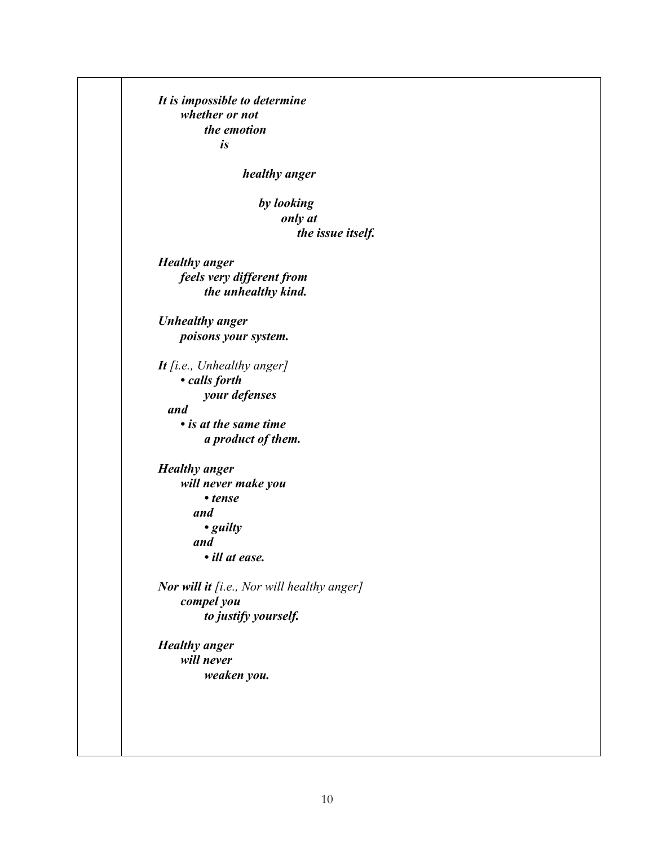*It is impossible to determine whether or not the emotion is healthy anger by looking only at the issue itself. Healthy anger feels very different from the unhealthy kind. Unhealthy anger poisons your system. It [i.e., Unhealthy anger] • calls forth your defenses and • is at the same time a product of them. Healthy anger will never make you • tense and • guilty and • ill at ease. Nor will it [i.e., Nor will healthy anger] compel you to justify yourself. Healthy anger will never weaken you.*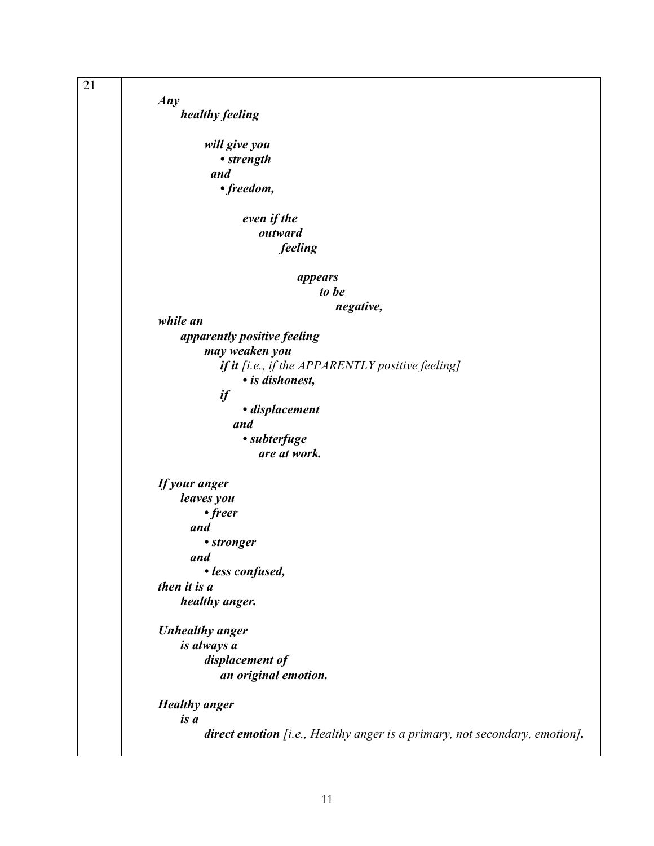| 21 |                                                                            |
|----|----------------------------------------------------------------------------|
|    | Any                                                                        |
|    | healthy feeling                                                            |
|    |                                                                            |
|    | will give you                                                              |
|    | • strength                                                                 |
|    | and                                                                        |
|    | • freedom,                                                                 |
|    | even if the                                                                |
|    | outward                                                                    |
|    | feeling                                                                    |
|    |                                                                            |
|    | appears                                                                    |
|    | to be                                                                      |
|    | negative,                                                                  |
|    | while an                                                                   |
|    | apparently positive feeling                                                |
|    | may weaken you                                                             |
|    | if it [i.e., if the APPARENTLY positive feeling]                           |
|    | · is dishonest,                                                            |
|    | if                                                                         |
|    | · displacement                                                             |
|    | and                                                                        |
|    | • subterfuge                                                               |
|    | are at work.                                                               |
|    | If your anger                                                              |
|    | leaves you                                                                 |
|    | • freer                                                                    |
|    | and                                                                        |
|    | • stronger                                                                 |
|    | and                                                                        |
|    | · less confused,                                                           |
|    | then it is a                                                               |
|    | healthy anger.                                                             |
|    | <b>Unhealthy</b> anger                                                     |
|    | is always a                                                                |
|    | displacement of                                                            |
|    | an original emotion.                                                       |
|    |                                                                            |
|    | <b>Healthy</b> anger                                                       |
|    | is a                                                                       |
|    | direct emotion [i.e., Healthy anger is a primary, not secondary, emotion]. |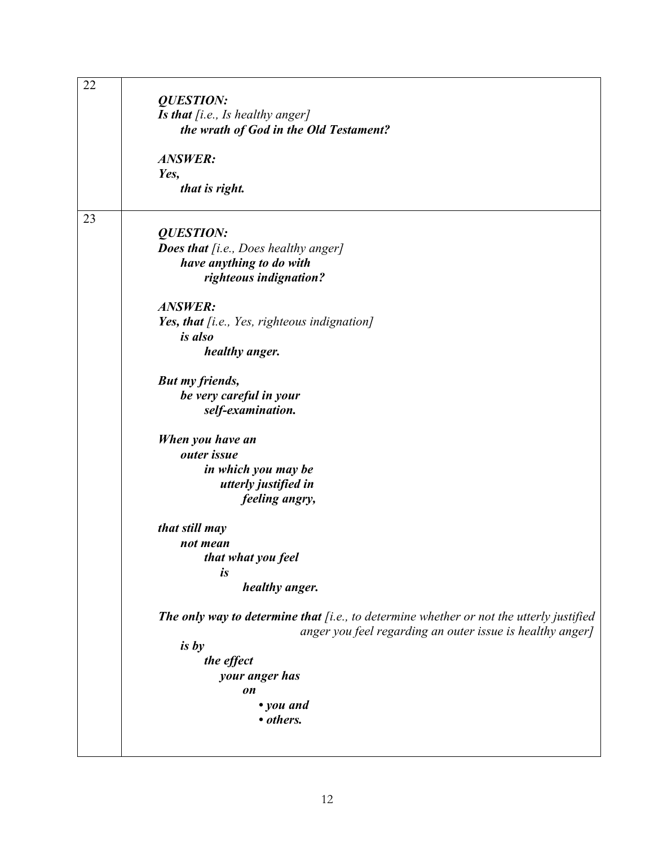| 22 | <b>QUESTION:</b>                                                                        |
|----|-----------------------------------------------------------------------------------------|
|    | Is that [i.e., Is healthy anger]                                                        |
|    | the wrath of God in the Old Testament?                                                  |
|    | <b>ANSWER:</b>                                                                          |
|    | Yes,                                                                                    |
|    | that is right.                                                                          |
| 23 |                                                                                         |
|    | <b>QUESTION:</b>                                                                        |
|    | <b>Does that</b> [i.e., Does healthy anger]                                             |
|    | have anything to do with                                                                |
|    | righteous indignation?                                                                  |
|    | <b>ANSWER:</b>                                                                          |
|    | Yes, that [i.e., Yes, righteous indignation]                                            |
|    | <i>is also</i>                                                                          |
|    | healthy anger.                                                                          |
|    | But my friends,                                                                         |
|    | be very careful in your                                                                 |
|    | self-examination.                                                                       |
|    | When you have an                                                                        |
|    | outer issue                                                                             |
|    | in which you may be                                                                     |
|    | utterly justified in                                                                    |
|    | feeling angry,                                                                          |
|    | that still may                                                                          |
|    | not mean                                                                                |
|    | that what you feel                                                                      |
|    | is                                                                                      |
|    | healthy anger.                                                                          |
|    | The only way to determine that [i.e., to determine whether or not the utterly justified |
|    | anger you feel regarding an outer issue is healthy anger]                               |
|    | is by                                                                                   |
|    | the effect                                                                              |
|    | your anger has                                                                          |
|    | on                                                                                      |
|    | • you and                                                                               |
|    | • others.                                                                               |
|    |                                                                                         |
|    |                                                                                         |